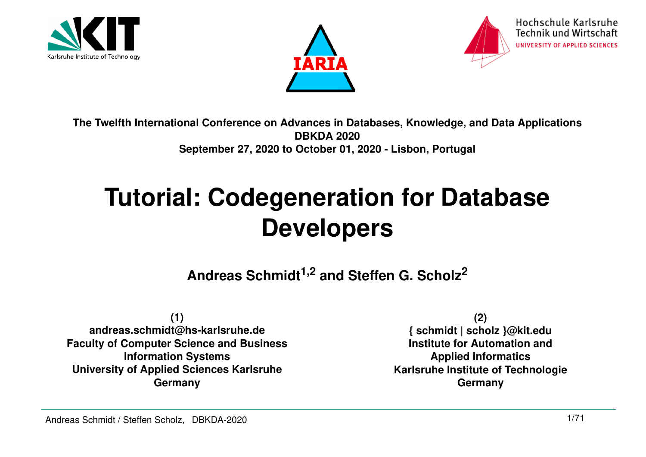





**The Twelfth International Conference on Advances in Databases, Knowledge, and Data ApplicationsDBKDA 2020September 27, 2020 to October 01, 2020 - Lisbon, Portugal** 

#### **Tutorial: Codegeneration for Database Developers**

**Andreas Schmidt1,2 and Steffen G. Scholz<sup>2</sup>**

**(1) andreas.schmidt@hs-karlsruhe.de Faculty of Computer Science and Business Information Systems University of Applied Sciences KarlsruheGermany**

**(2)**

 **{ schmidt | scholz }@kit.edu Institute for Automation and Applied Informatics Karlsruhe Institute of TechnologieGermany**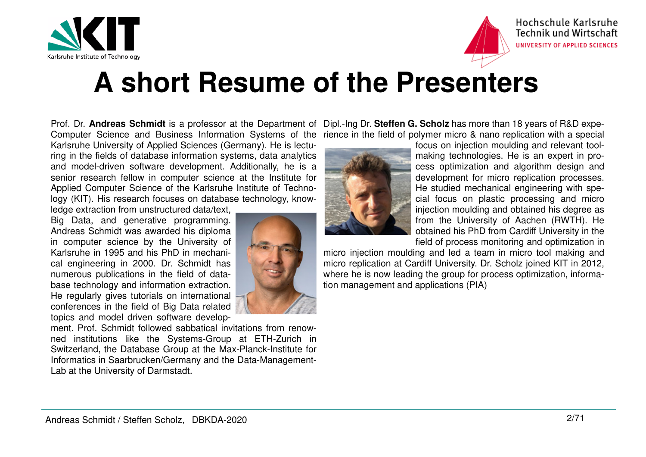



#### **A short Resume of the Presenters**

 Karlsruhe University of Applied Sciences (Germany). He is lecturing in the fields of database information systems, data analytics and model-driven software development. Additionally, he is a senior research fellow in computer science at the Institute for Applied Computer Science of the Karlsruhe Institute of Technology (KIT). His research focuses on database technology, know-

ledge extraction from unstructured data/text, Big Data, and generative programming. Andreas Schmidt was awarded his diploma in computer science by the University of Karlsruhe in 1995 and his PhD in mechanical engineering in 2000. Dr. Schmidt has numerous publications in the field of database technology and information extraction. He regularly gives tutorials on international conferences in the field of Big Data relatedtopics and model driven software develop-

ment. Prof. Schmidt followed sabbatical invitations from renowned institutions like the Systems-Group at ETH-Zurich in Switzerland, the Database Group at the Max-Planck-Institute for Informatics in Saarbrucken/Germany and the Data-Management-Lab at the University of Darmstadt.



Prof. Dr. **Andreas Schmidt** is a professor at the Department of Dipl.-Ing Dr. **Steffen G. Scholz** has more than 18 years of R&D expe-Computer Science and Business Information Systems of the rience in the field of polymer micro & nano replication with a special



 focus on injection moulding and relevant toolmaking technologies. He is an expert in process optimization and algorithm design and development for micro replication processes. He studied mechanical engineering with special focus on plastic processing and micro injection moulding and obtained his degree as from the University of Aachen (RWTH). He obtained his PhD from Cardiff University in thefield of process monitoring and optimization in

 micro injection moulding and led a team in micro tool making and micro replication at Cardiff University. Dr. Scholz joined KIT in 2012, where he is now leading the group for process optimization, information management and applications (PIA)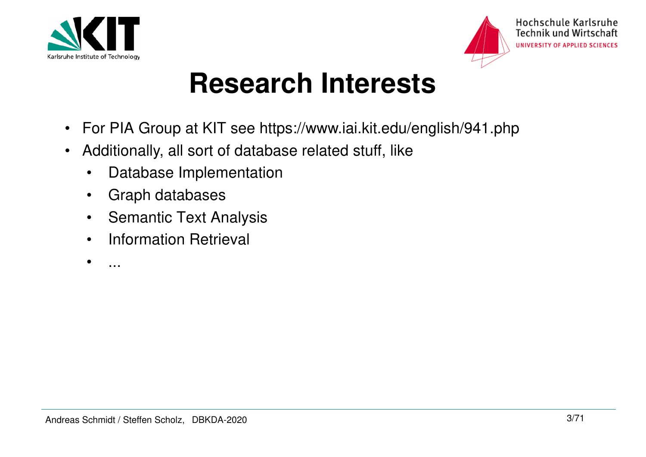



#### **Research Interests**

- For PIA Group at KIT see https://www.iai.kit.edu/english/941.php
- $\bullet$  Additionally, all sort of database related stuff, like
	- •Database Implementation
	- •Graph databases
	- $\bullet$ Semantic Text Analysis
	- •Information Retrieval
	- •...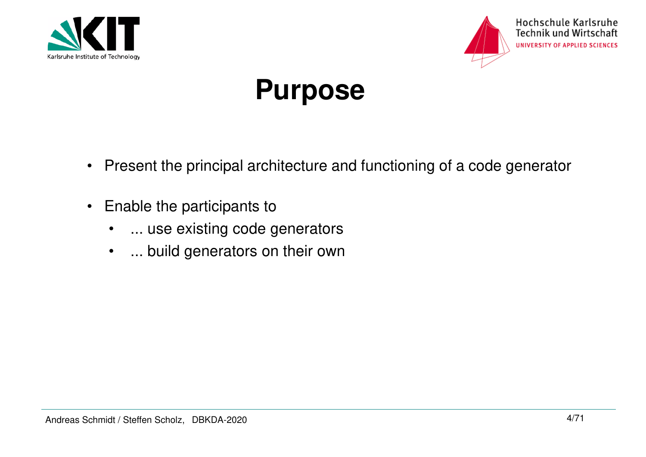



Hochschule Karlsruhe **Technik und Wirtschaft** UNIVERSITY OF APPLIED SCIENCES

#### **Purpose**

- $\bullet$ Present the principal architecture and functioning of a code generator
- $\bullet$  Enable the participants to
	- •... use existing code generators
	- $\bullet$ ... build generators on their own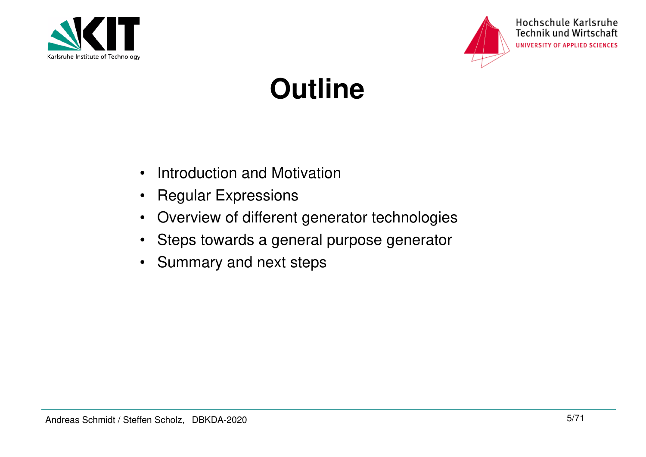



Hochschule Karlsruhe **Technik und Wirtschaft** UNIVERSITY OF APPLIED SCIENCES

## **Outline**

- •Introduction and Motivation
- $\bullet$ Regular Expressions
- $\bullet$ Overview of different generator technologies
- $\bullet$ Steps towards a general purpose generator
- $\bullet$ Summary and next steps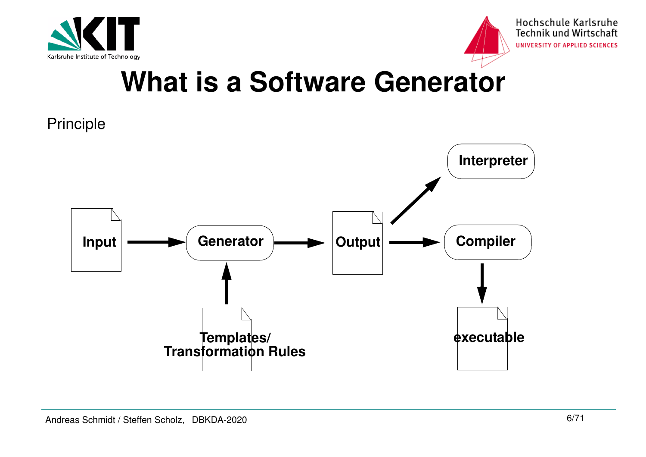



#### **What is a Software Generator**

Principle

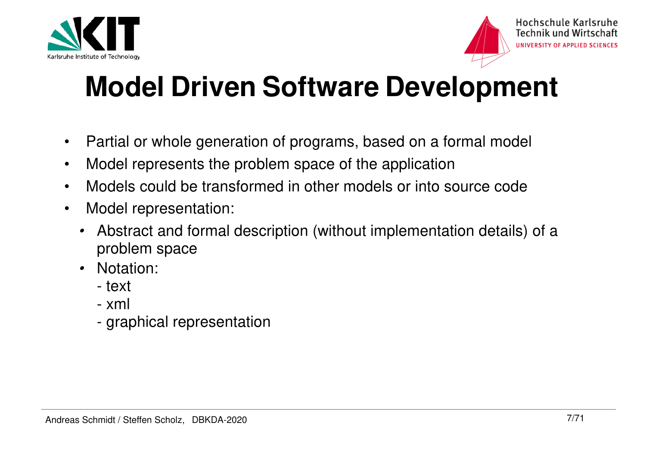



### **Model Driven Software Development**

- $\bullet$ Partial or whole generation of programs, based on a formal model
- •Model represents the problem space of the application
- $\bullet$ Models could be transformed in other models or into source code
- $\bullet$  Model representation:
	- *•* Abstract and formal description (without implementation details) of aproblem space
	- *•* Notation:
		- text
		- xml
		- graphical representation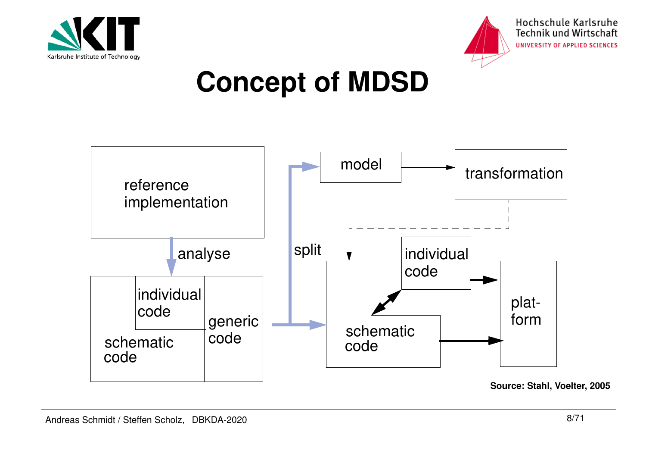



#### **Concept of MDSD**



**Source: Stahl, Voelter, 2005**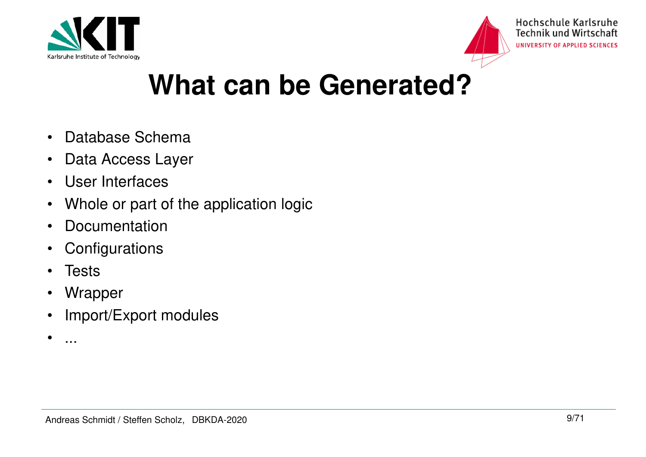



#### **What can be Generated?**

- •Database Schema
- •Data Access Layer
- •User Interfaces
- •Whole or part of the application logic
- •**Documentation**
- $\bullet$ **Configurations**
- •**Tests**
- $\bullet$ Wrapper
- •Import/Export modules
- •...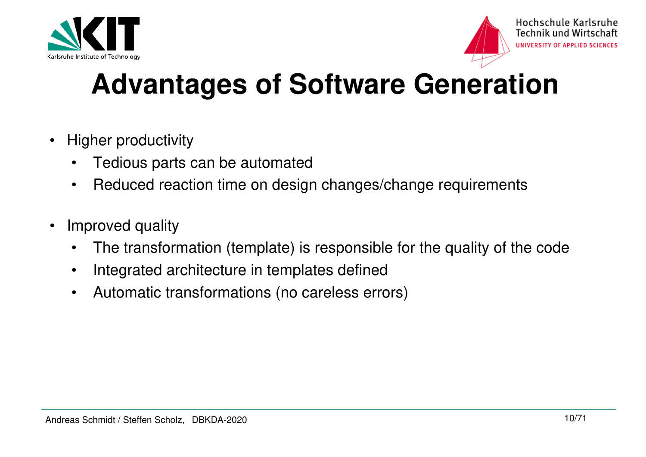



#### **Advantages of Software Generation**

- $\bullet$  Higher productivity
	- •Tedious parts can be automated
	- Reduced reaction time on design changes/change requirements $\bullet$
- $\bullet$  Improved quality
	- $\bullet$ The transformation (template) is responsible for the quality of the code
	- •Integrated architecture in templates defined
	- •Automatic transformations (no careless errors)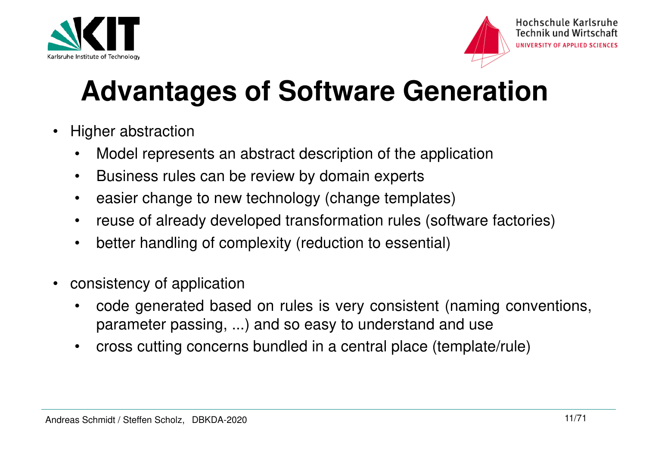



## **Advantages of Software Generation**

- $\bullet$  Higher abstraction
	- •Model represents an abstract description of the application
	- $\bullet$ Business rules can be review by domain experts
	- •easier change to new technology (change templates)
	- $\bullet$ reuse of already developed transformation rules (software factories)
	- •better handling of complexity (reduction to essential)
- • consistency of application
	- • code generated based on rules is very consistent (naming conventions, parameter passing, ...) and so easy to understand and use
	- •cross cutting concerns bundled in a central place (template/rule)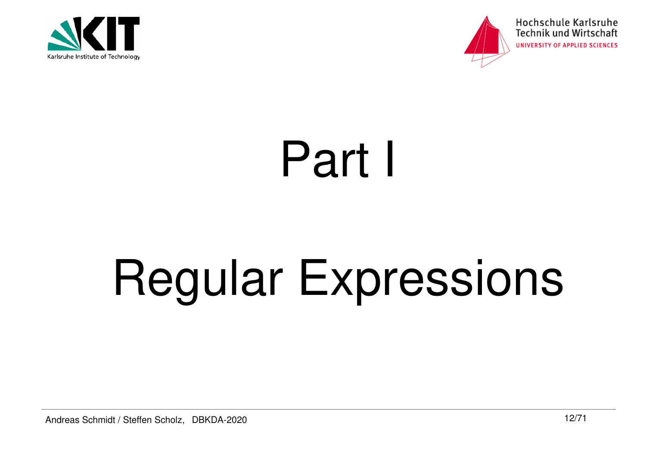



Hochschule Karlsruhe **Technik und Wirtschaft** UNIVERSITY OF APPLIED SCIENCES

# Part I

# Regular Expressions

Andreas Schmidt / Steffen Scholz, DBKDA-2020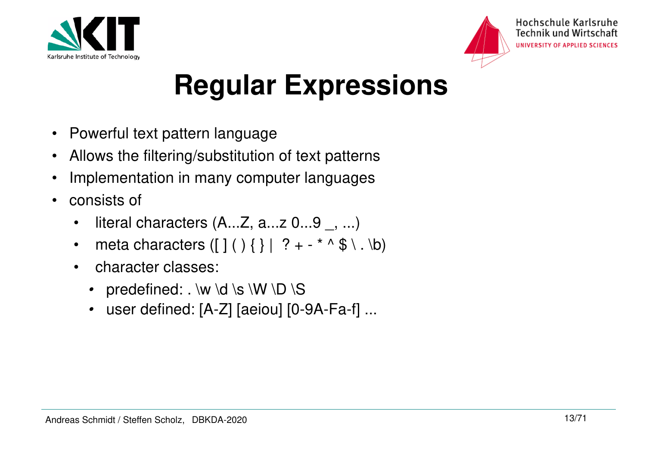



Hochschule Karlsruhe **Technik und Wirtschaft** UNIVERSITY OF APPLIED SCIENCES

#### **Regular Expressions**

- $\bullet$ Powerful text pattern language
- •Allows the filtering/substitution of text patterns
- •Implementation in many computer languages
- • consists of
	- •literal characters  $(A...Z, a...z 0...9$ <sub>,...</sub>)
	- •meta characters  $([ ] () ]$  } } ? + - \* ^ \$ \. \b)
	- $\bullet$  character classes:
		- *•* predefined: . \w \d \s \W \D \S
		- user defined: [A-Z] [aeiou] [0-9A-Fa-f] ...*•*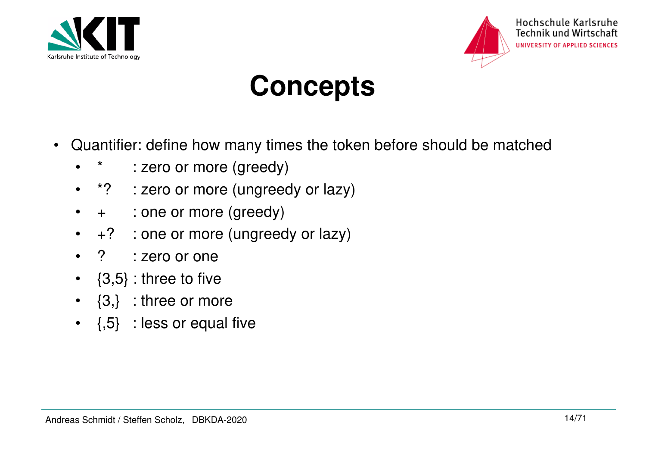



#### **Concepts**

- $\bullet$  Quantifier: define how many times the token before should be matched
	- •\* : zero or more (greedy)
	- $\bullet$ \*? : zero or more (ungreedy or lazy)
	- $\bullet$ + : one or more (greedy)
	- $\bullet$ +? : one or more (ungreedy or lazy)
	- •? : zero or one
	- {3,5} : three to five
	- {3,} : three or more
	- $\bullet$ {,5} : less or equal five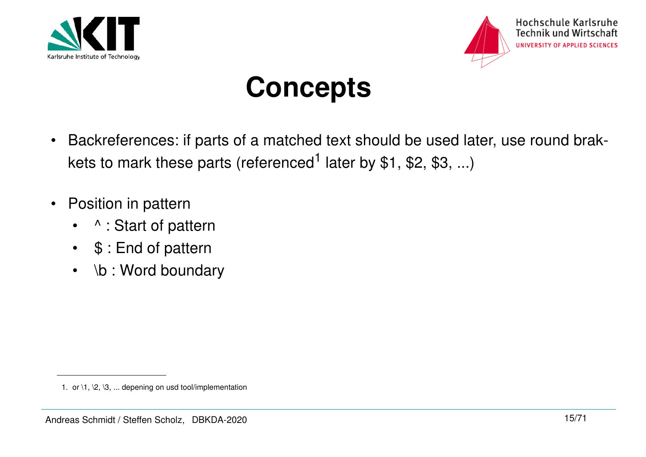



#### **Concepts**

- $\bullet$  Backreferences: if parts of a matched text should be used later, use round brakkets to mark these parts (referenced<sup>1</sup> later by \$1, \$2, \$3, ...)
- $\bullet$  Position in pattern
	- •^ : Start of pattern
	- •\$ : End of pattern
	- •\b : Word boundary

<sup>1.</sup> or \1, \2, \3, ... depening on usd tool/implementation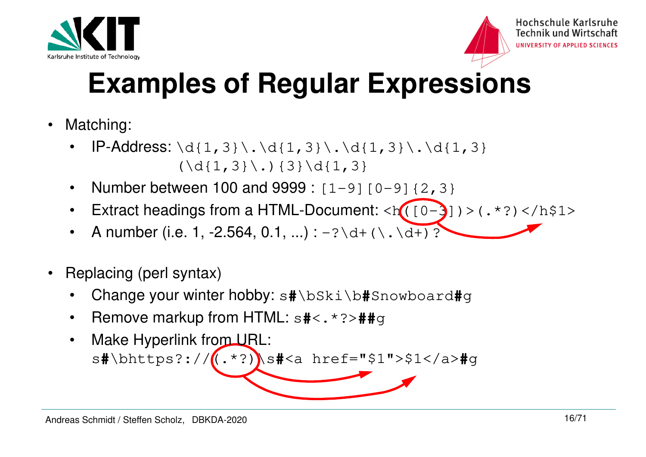



#### **Examples of Regular Expressions**

- $\bullet$  Matching:
	- • $IP-Address: \d{1,3}\.\d{1,3}\.\d{1,3}\.\d{1,3}\.$  $(\ddot{1}, 3\ddot{1}, 3\ddot{3})$
	- •Number between 100 and 9999 :  $[1-9][0-9][2,3]$
	- Extract headings from a HTML-Document:  $\langle h((0-3)) \rangle$  (.\*?) </h\$1> •
	- •A number (i.e. 1, -2.564, 0.1, ...) :  $-? \ddot{\text{d}} + (\ddot{\text{d}} + \ddot{\text{d}})^?$
- $\bullet$  Replacing (perl syntax)
	- •Change your winter hobby: s**#**\bSki\b**#**Snowboard**#**<sup>g</sup>
	- $\bullet$ Remove markup from HTML: s**#**<.\*?>**##**<sup>g</sup>
	- $\bullet$ Make Hyperlink from URL: s**#**\bhttps?://(.\*?)\s**#**<a href="\$1">\$1</a>**#**g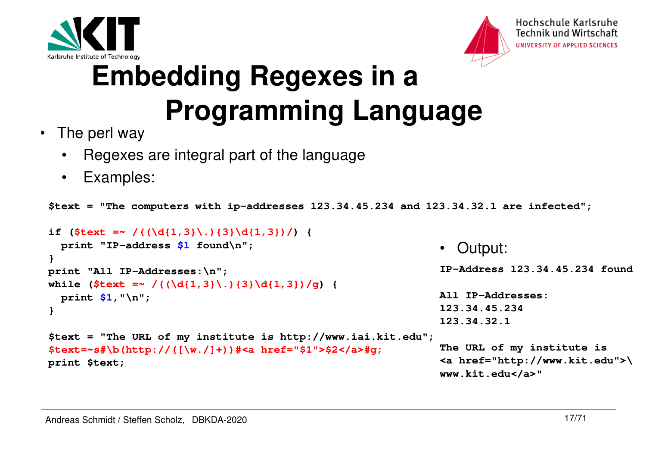



## **Embedding Regexes in a Programming Language**

- The perl way
	- •Regexes are integral part of the language
	- $\bullet$ Examples:

```
$text = "The computers with ip-addresses 123.34.45.234 and 123.34.32.1 are infected";
```

```
• Output:
                                                             IP-Address 123.34.45.234 foundAll IP-Addresses:123.34.45.234123.34.32.1The URL of my institute is 
<a href="http://www.kit.edu">\ www.kit.edu</a>"if ($text =~ /(\{d{1,3}\}\.){3}\{d{1,3}\}/) {
   print "IP-address $1 found\n";}
print "All IP-Addresses:\n";
while ($text =~ /((\d{1,3}\.){3}\d{1,3})/g) { print $1,"\n";}$text = "The URL of my institute is http://www.iai.kit.edu";$text=~s#\b(http://([\w./]+))#<a href="$1">$2</a>#g;print $text;
```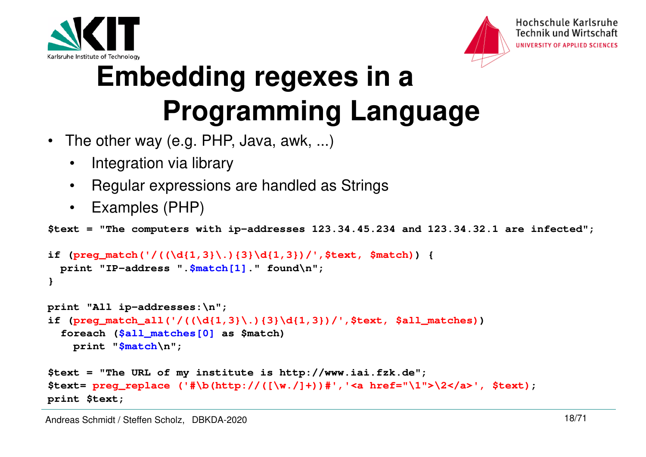



## **Embedding regexes in a Programming Language**

- $\bullet$  The other way (e.g. PHP, Java, awk, ...)
	- •Integration via library
	- •Regular expressions are handled as Strings
	- $\bullet$ Examples (PHP)

**\$text = "The computers with ip-addresses 123.34.45.234 and 123.34.32.1 are infected";**

```
if (preg_match('/((\d{1,3}\.){3}\d{1,3})/',$text, $match)) { print "IP-address ".$match[1]." found\n";}print "All ip-addresses:\n";
if (preg_match_all('/((\d{1,3}\.){3}\d{1,3})/',$text, $all_matches))  foreach ($all_matches[0] as $match) print "$match\n";$text = "The URL of my institute is http://www.iai.fzk.de";
$text= preg_replace ('#\b(http://([\w./]+))#','<a href="\1">\2</a>', $text);print $text;
```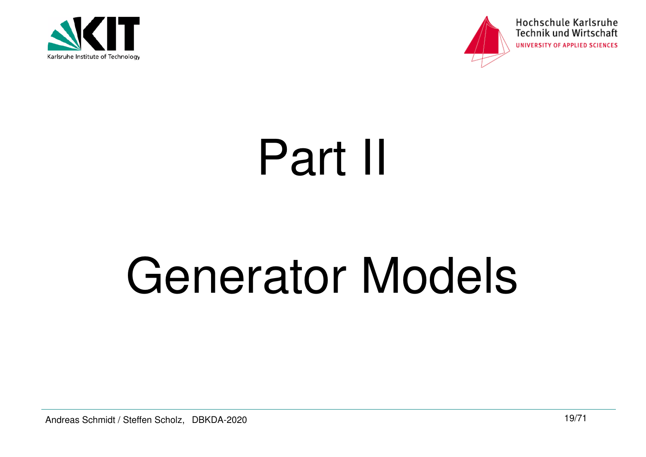



Hochschule Karlsruhe **Technik und Wirtschaft** UNIVERSITY OF APPLIED SCIENCES

# Part II

# Generator Models

Andreas Schmidt / Steffen Scholz, DBKDA-2020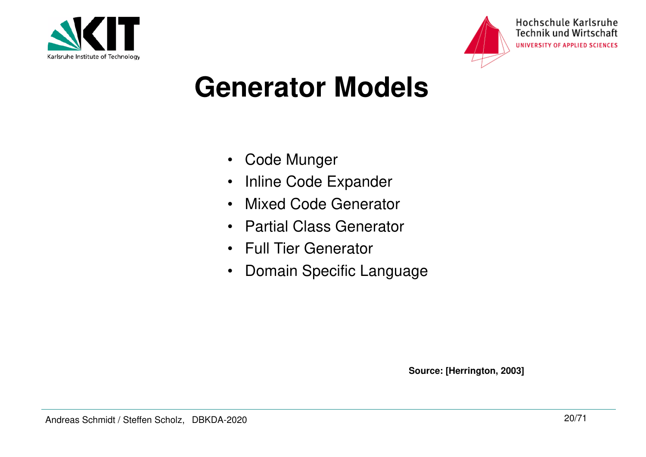



#### **Generator Models**

- Code Munger
- •Inline Code Expander
- •Mixed Code Generator
- •Partial Class Generator
- $\bullet$ Full Tier Generator
- •Domain Specific Language

**Source: [Herrington, 2003]**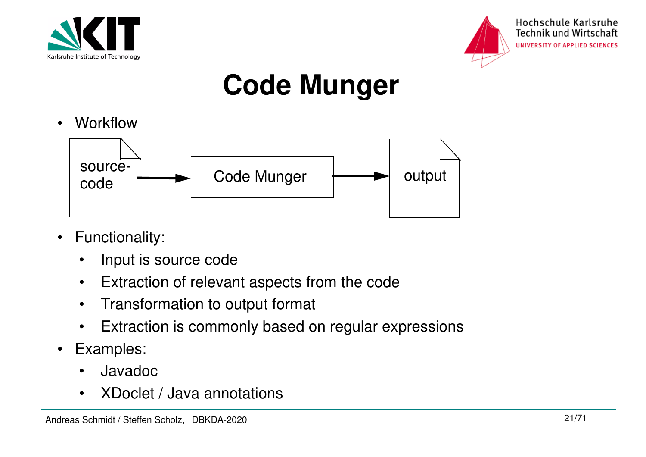



## **Code Munger**

•Workflow



- Functionality:
	- •Input is source code
	- •Extraction of relevant aspects from the code
	- •Transformation to output format
	- $\bullet$ Extraction is commonly based on regular expressions
- • Examples:
	- •Javadoc
	- •XDoclet / Java annotations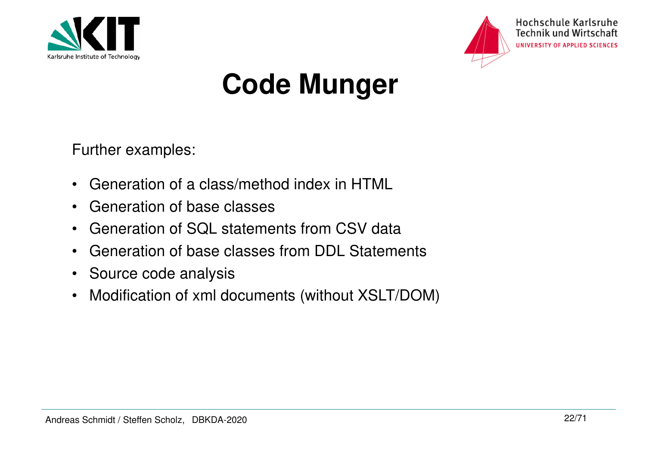



Hochschule Karlsruhe **Technik und Wirtschaft** UNIVERSITY OF APPLIED SCIENCES

#### **Code Munger**

Further examples:

- •Generation of a class/method index in HTML
- •Generation of base classes
- •Generation of SQL statements from CSV data
- •Generation of base classes from DDL Statements
- •Source code analysis
- $\bullet$ Modification of xml documents (without XSLT/DOM)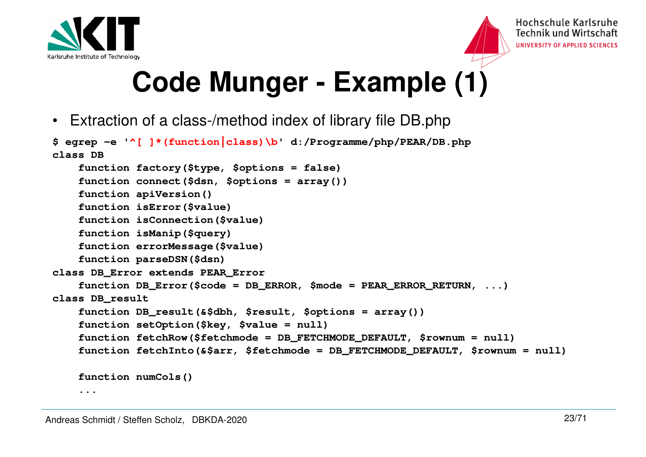



#### **Code Munger - Example (1)**

• Extraction of a class-/method index of library file DB.php

```
$ egrep -e '^[ ]*(function|class)\b' d:/Programme/php/PEAR/DB.phpclass DB
 function factory($type, $options = false)
 function connect($dsn, $options = array()) function apiVersion()
 function isError($value)
 function isConnection($value) function isManip($query)
 function errorMessage($value) function parseDSN($dsn)
class DB_Error extends PEAR_Error
 function DB_Error($code = DB_ERROR, $mode = PEAR_ERROR_RETURN, ...)class DB_result
 function DB_result(&$dbh, $result, $options = array()) function setOption($key, $value = null)
 function fetchRow($fetchmode = DB_FETCHMODE_DEFAULT, $rownum = null)
 function fetchInto(&$arr, $fetchmode = DB_FETCHMODE_DEFAULT, $rownum = null) function numCols()
```
 **...**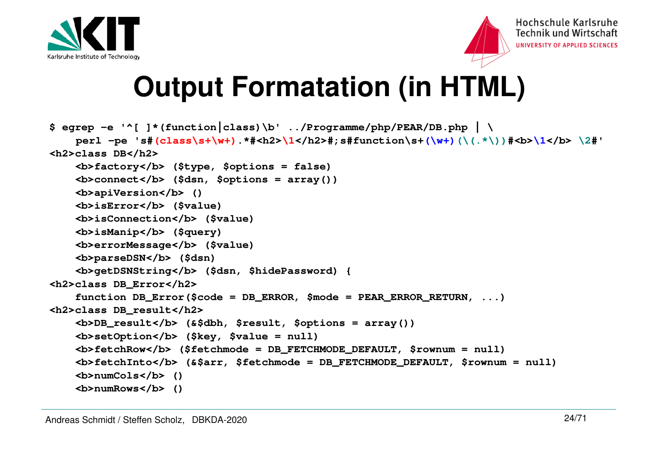



#### **Output Formatation (in HTML)**

```
$ egrep -e '^[ ]*(function|class)\b' ../Programme/php/PEAR/DB.php | \
perl -pe 's#(class\s+\w+).*#<h2>\1</h2>#;s#function\s+(\w+)(\(.*\))#<b>\1</b> \2#'<h2>class DB</h2>
 <b>factory</b> ($type, $options = false)
 <b>connect</b> ($dsn, $options = array()) <b>apiVersion</b> ()
 <b>isError</b> ($value)
 <b>isConnection</b> ($value) <b>isManip</b> ($query)
 <b>errorMessage</b> ($value) <b>parseDSN</b> ($dsn)
 <b>getDSNString</b> ($dsn, $hidePassword) {<h2>class DB_Error</h2>
 function DB_Error($code = DB_ERROR, $mode = PEAR_ERROR_RETURN, ...)<h2>class DB_result</h2>
 <b>DB_result</b> (&$dbh, $result, $options = array()) <b>setOption</b> ($key, $value = null)
 <b>fetchRow</b> ($fetchmode = DB_FETCHMODE_DEFAULT, $rownum = null)
 <b>fetchInto</b> (&$arr, $fetchmode = DB_FETCHMODE_DEFAULT, $rownum = null) <b>numCols</b> ()
 <b>numRows</b> ()
```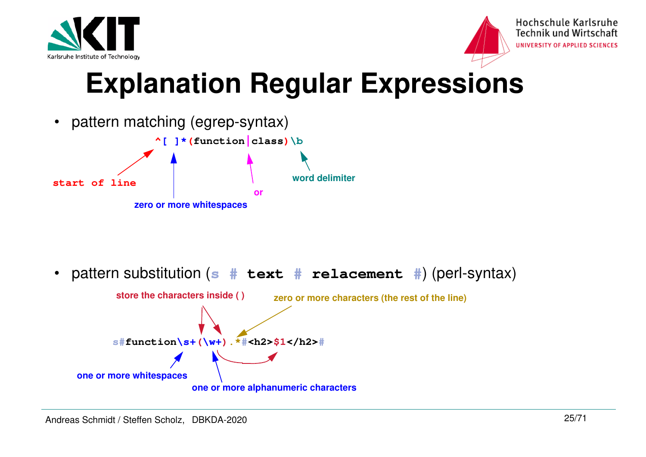



#### **Explanation Regular Expressions**



 $\bullet$ pattern substitution (**s # text # relacement #**) (perl-syntax)

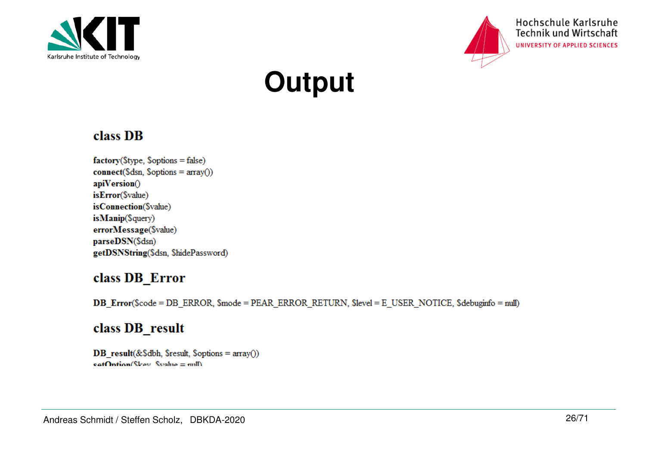



Hochschule Karlsruhe **Technik und Wirtschaft** UNIVERSITY OF APPLIED SCIENCES

### **Output**

#### class DB

 $factory(*Stype*, *Spptions* = false)$  $connect(\$dsn, \$options = array())$ apiVersion() isError(\$value) isConnection(\$value) isManip(\$query) errorMessage(\$value) parseDSN(\$dsn) getDSNString(\$dsn, \$hidePassword)

#### class DB\_Error

DB Error(\$code = DB ERROR, \$mode = PEAR ERROR RETURN, \$level = E USER NOTICE, \$debuginfo = null)

#### class DB\_result

DB\_result(&\$dbh, \$result, \$options = array())  $\text{cat}\Omega$ ntion( $\text{New}$   $\text{Value} = \text{null}$ )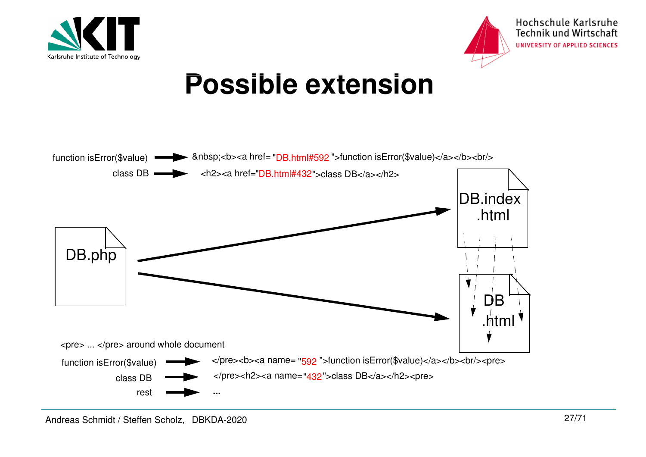



#### **Possible extension**

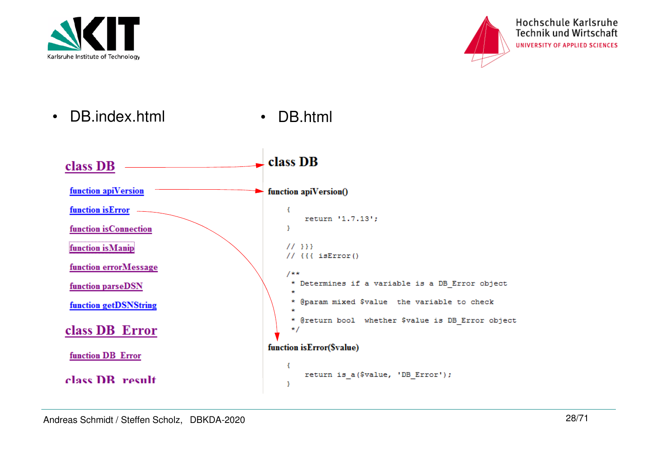



- •DB.index.html • DB.html
- 

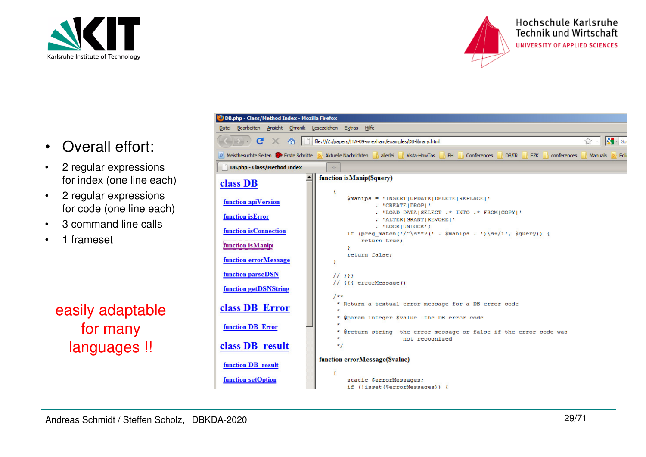



- $\bullet$ Overall effort:
- • 2 regular expressions for index (one line each)
- $\bullet$  2 regular expressions for code (one line each)
- •3 command line calls
- •1 frameset

easily adaptable for many languages !!

| DB.php - Class/Method Index - Mozilla Firefox                                                                                                                                                        |                                                                                                                                                   |
|------------------------------------------------------------------------------------------------------------------------------------------------------------------------------------------------------|---------------------------------------------------------------------------------------------------------------------------------------------------|
| Datei Bearbeiten Ansicht Chronik Lesezeichen Extras Hilfe                                                                                                                                            |                                                                                                                                                   |
| $\left \cdot\right $ + Go<br>$C \times \mathbf{A}$<br>$\left  \cdot \right $<br>  file:///Z:/papers/ITA-09-wrexham/examples/DB-library.html                                                          |                                                                                                                                                   |
| A Meistbesuchte Seiten <b>A</b> Erste Schritte <b>N</b> Aktuelle Nachrichten <b>N</b> allerlei<br>Conferences<br>Vista-HowTos<br>DB/IR<br><b>FZK</b><br>conferences<br>FH.<br><b>Manuals</b><br>Foli |                                                                                                                                                   |
| $\omega_{\rm m}$<br><b>DB.php - Class/Method Index</b>                                                                                                                                               |                                                                                                                                                   |
| class DB                                                                                                                                                                                             | function is Manip(\$query)                                                                                                                        |
| function apiVersion                                                                                                                                                                                  | \$manips = 'INSERT UPDATE DELETE REPLACE '<br>. 'CREATEIDROPI'                                                                                    |
| function isError                                                                                                                                                                                     | . 'LOAD DATA SELECT .* INTO .* FROM COPY '<br>. 'ALTER GRANT REVOKE '<br>. 'LOCKIUNLOCK':                                                         |
| function is Connection<br>function is Manip                                                                                                                                                          | if (preg match( $\sqrt{\frac{x}{x}}$ "?('. \$manips . ') \s+/i', \$query)) {<br>return true:                                                      |
| function errorMessage                                                                                                                                                                                | return false:<br>Υ.                                                                                                                               |
| function parseDSN                                                                                                                                                                                    | 11.333<br>// {{{ errorMessage()                                                                                                                   |
| function getDSNString                                                                                                                                                                                | $1**$                                                                                                                                             |
| class DB Error                                                                                                                                                                                       | * Return a textual error message for a DB error code<br>* @param integer \$value the DB error code                                                |
| function DB Error                                                                                                                                                                                    | * @return string the error message or false if the error code was<br>not recognized                                                               |
| class DB result                                                                                                                                                                                      | $\star$ /                                                                                                                                         |
| function DB result                                                                                                                                                                                   | function errorMessage(\$value)                                                                                                                    |
| function setOption                                                                                                                                                                                   | static \$errorMessages;<br>$\mathcal{L} \in \{1, 1, 2, 3, 4, 1\}$ company $\mathcal{L}$ and $\mathcal{L} \in \{1, 2, 3, 4, 5, 6, 6, 7, 8, 9, 1\}$ |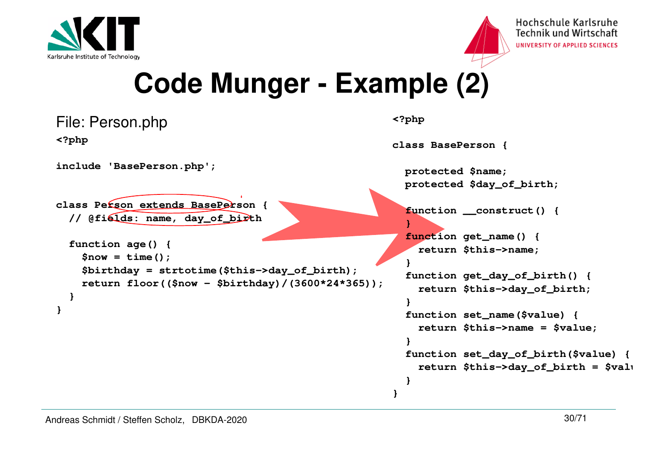



#### **Code Munger - Example (2)**

```
File: Person.php<?phpinclude 'BasePerson.php';class Person extends BasePerson {
 // @fields: name, day_of_birth function age() {
 $now = time();
 $birthday = strtotime($this->day_of_birth);
 return floor(($now - $birthday)/(3600*24*365)); }}<?phpclass BasePerson { protected $name;
 protected $day_of_birth; function __construct() { }
 function get_name() {
 return $this->name; }
 function get_day_of_birth() {
 return $this->day_of_birth; }
 function set_name($value) {
 return $this->name = $value; }
 function set_day_of_birth($value) {
 return $this->day_of_birth = $valu }}
```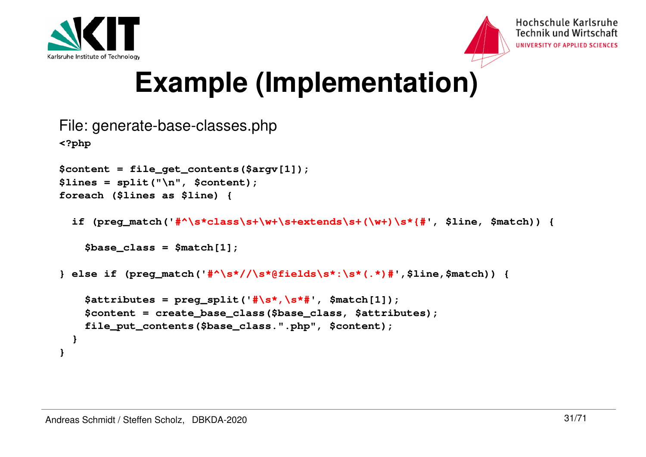



#### **Example (Implementation)**

```
File: generate-base-classes.php<?php$content = file_get_contents($argv[1]);$lines = split("\n", $content);foreach ($lines as $line) { if (preg_match('#^\s*class\s+\w+\s+extends\s+(\w+)\s*{#', $line, $match)) { $base_class = $match[1];} else if (preg_match('#^\s*//\s*@fields\s*:\s*(.*)#',$line,$match)) { $attributes = preg_split('#\s*,\s*#', $match[1]);
 $content = create_base_class($base_class, $attributes); file_put_contents($base_class.".php", $content); } }
```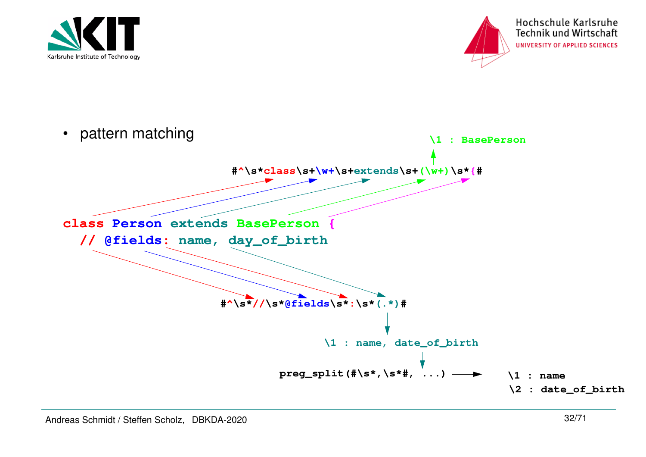



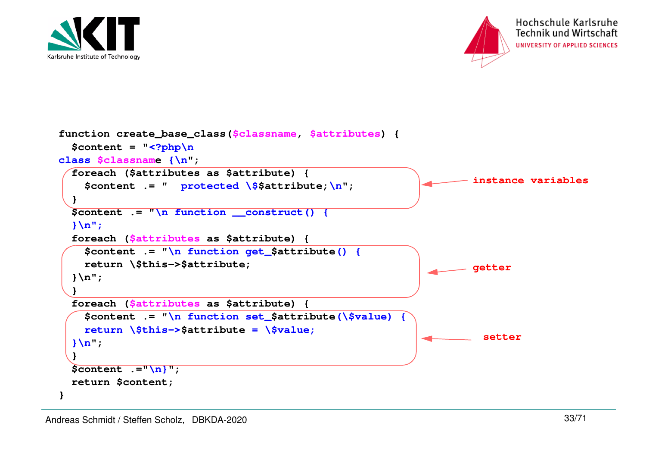



```
function create_base_class($classname, $attributes) { $content = "<?php\n
class $classname {\n";
  foreach ($attributes as $attribute) {
 $content .= " protected \$$attribute;\n"; }
 $content .= "\n function __construct() { }\n";
 foreach ($attributes as $attribute) {
 $content .= "\n function get_$attribute() { return \$this->$attribute;  }\n"; }
 foreach ($attributes as $attribute) {
 $content .= "\n function set_$attribute(\$value) { 
    return \$this->$attribute = \$value;  }\n"; }
 $content .="\n}";
 return $content;}instance variablesgettersetter
```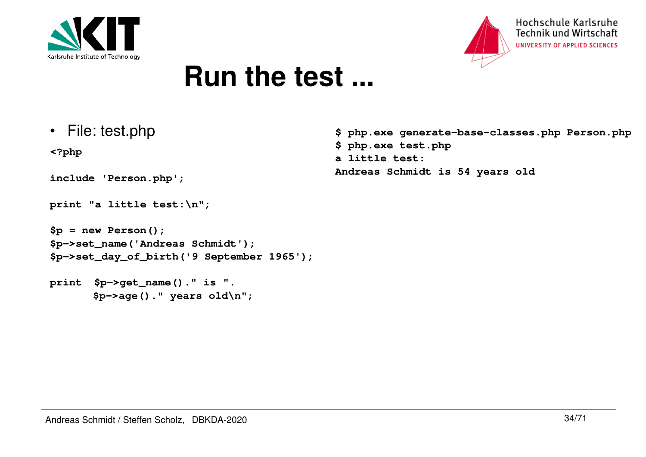



#### **Run the test ...**

• File: test.php

**<?php**

```
include 'Person.php';
```

```
print "a little test:\n";
```

```
$p = new Person();
$p->set_name('Andreas Schmidt');
$p->set_day_of_birth('9 September 1965');
```

```
print $p->get_name()." is ".
$p->age()." years old\n";
```
**\$ php.exe generate-base-classes.php Person.php\$ php.exe test.phpa little test:Andreas Schmidt is 54 years old**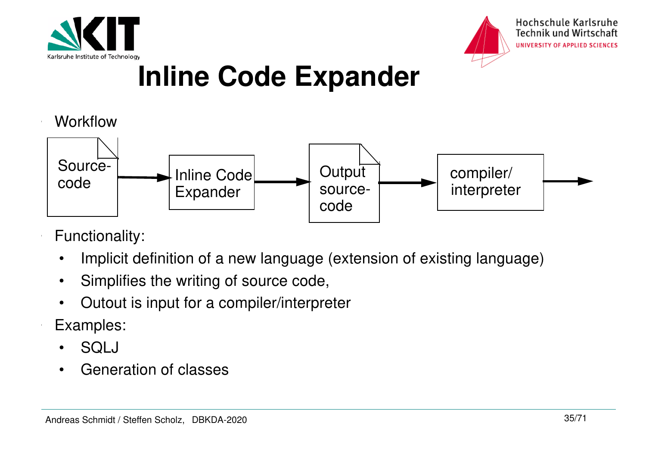



#### **Inline Code Expander**

#### Workflow



- Functionality:
	- •Implicit definition of a new language (extension of existing language)
	- •Simplifies the writing of source code,
	- •Outout is input for a compiler/interpreter
- Examples:
	- •SQLJ
	- •Generation of classes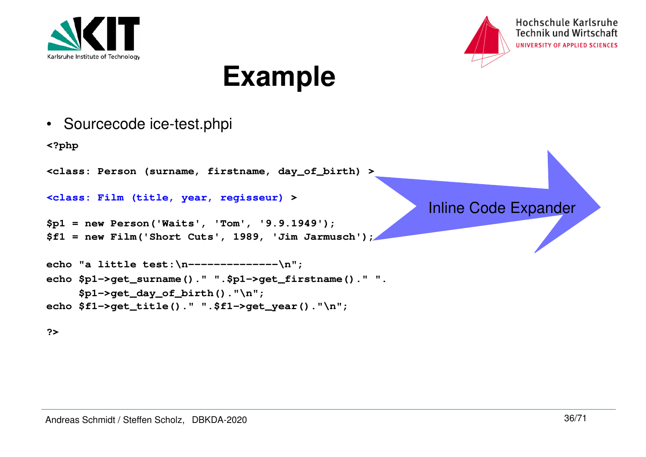



#### **Example**

• Sourcecode ice-test.phpi **<?php<class: Person (surname, firstname, day\_of\_birth) ><class: Film (title, year, regisseur) >\$p1 = new Person('Waits', 'Tom', '9.9.1949'); \$f1 = new Film('Short Cuts', 1989, 'Jim Jarmusch');echo "a little test:\n--------------\n"; echo \$p1->get\_surname()." ".\$p1->get\_firstname()." ".\$p1->get\_day\_of\_birth()."\n"; echo \$f1->get\_title()." ".\$f1->get\_year()."\n";**Inline Code Expander

**?>**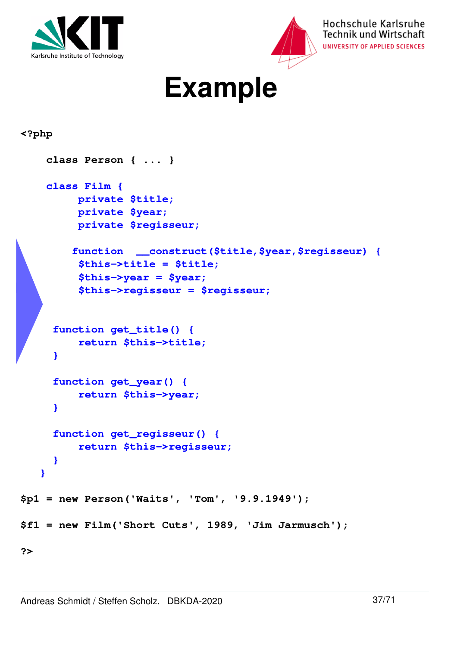



Hochschule Karlsruhe Technik und Wirtschaft UNIVERSITY OF APPLIED SCIENCES

```
Example
```
#### **<?php**

```
 class Person { ... }
     class Film {
          private $title;
          private $year;
          private $regisseur;
         function __construct($title,$year,$regisseur) {
          $this->title = $title;
          $this->year = $year;
          $this->regisseur = $regisseur;
      function get_title() {
          return $this->title;
      }
      function get_year() {
          return $this->year;
      }
      function get_regisseur() {
          return $this->regisseur;
      }
    }
$p1 = new Person('Waits', 'Tom', '9.9.1949');
$f1 = new Film('Short Cuts', 1989, 'Jim Jarmusch');
?>
```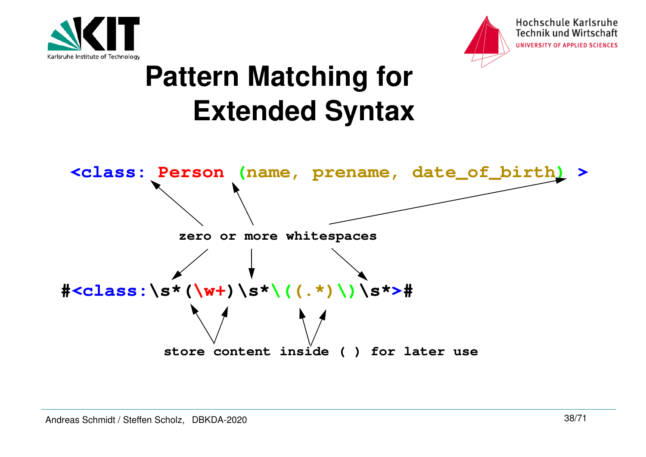



## **Pattern Matching for Extended Syntax**

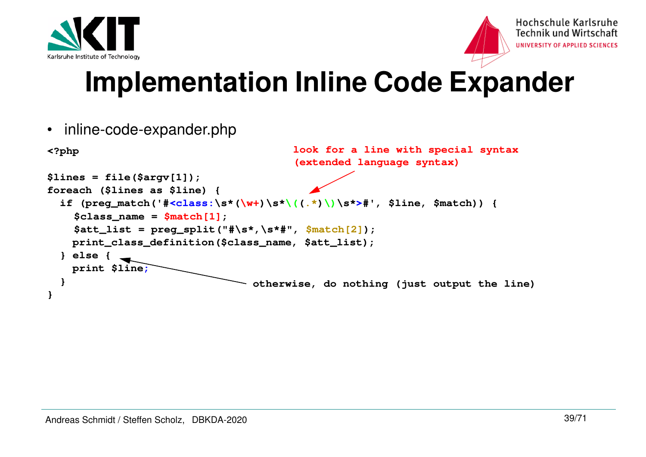



### **Implementation Inline Code Expander**

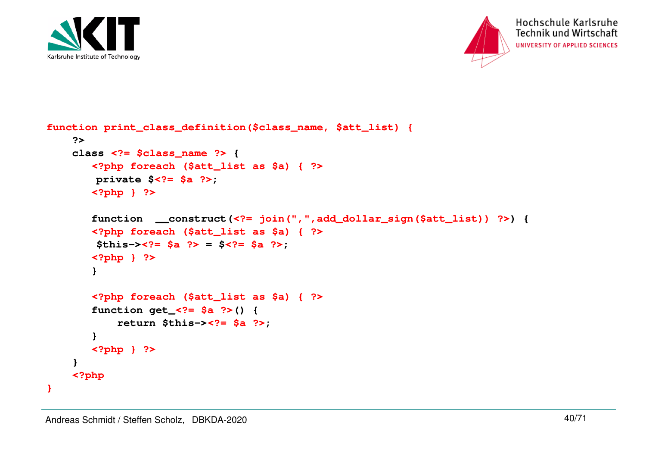



```
function print_class_definition($class_name, $att_list) { ?>
 class <?= $class_name ?> {
<?php foreach ($att_list as $a) { ?> private $<?= $a ?>;<?php } ?> function __construct(<?= join(",",add_dollar_sign($att_list)) ?>) {<?php foreach ($att_list as $a) { ?> $this-><?= $a ?> = $<?= $a ?>;<?php } ?> }<?php foreach ($att_list as $a) { ?> function get_<?= $a ?>() {
 return $this-><?= $a ?>; }
<?php } ?> }
 <?php }
```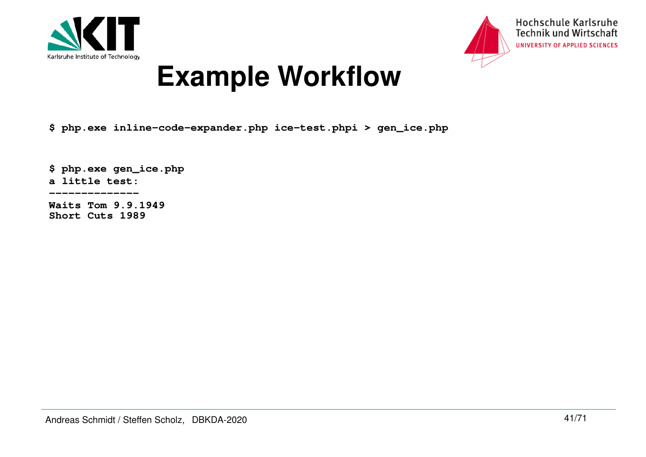



#### **Example Workflow**

**\$ php.exe inline-code-expander.php ice-test.phpi > gen\_ice.php**

**\$ php.exe gen\_ice.phpa little test:**

**--------------**

 **Waits Tom 9.9.1949Short Cuts 1989**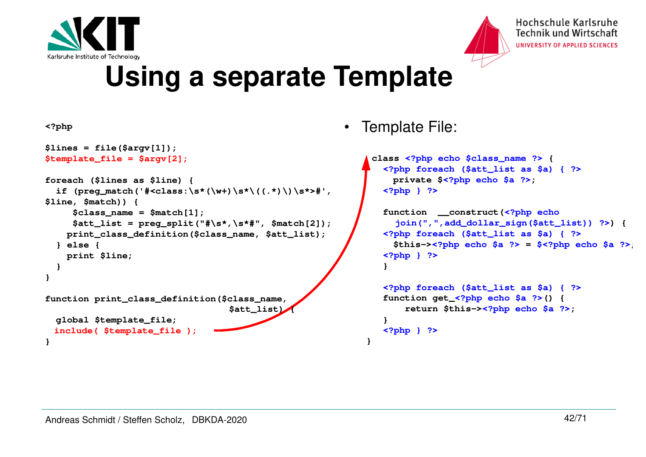



#### **Using a separate Template**

#### **<?php**

```
$lines = file($argv[1]);
$template_file = $argv[2];foreach ($lines as $line) {
 if (preg_match('#<class:\s*(\w+)\s*\((.*)\)\s*>#', $line, $match)) {
 $class_name = $match[1];
 $att_list = preg_split("#\s*,\s*#", $match[2]);
 print_class_definition($class_name, $att_list); } else {
 print $line; }}function print_class_definition($class_name, $att_list) { global $template_file;
include( $template_file );} }
```
• Template File:

 **}**

```
class <?php echo $class_name ?> {
<?php foreach ($att_list as $a) { ?> private $<?php echo $a ?>;<?php } ?> function __construct(<?php echo 
join(",",add_dollar_sign($att_list)) ?>) {<?php foreach ($att_list as $a) { ?>
```

```

 $this-><?php echo $a ?> = $<?php echo $a ?>;<?php } ?>
```

```
<?php foreach ($att_list as $a) { ?> function get_<?php echo $a ?>() {
 return $this-><?php echo $a ?>; }
<?php } ?>
```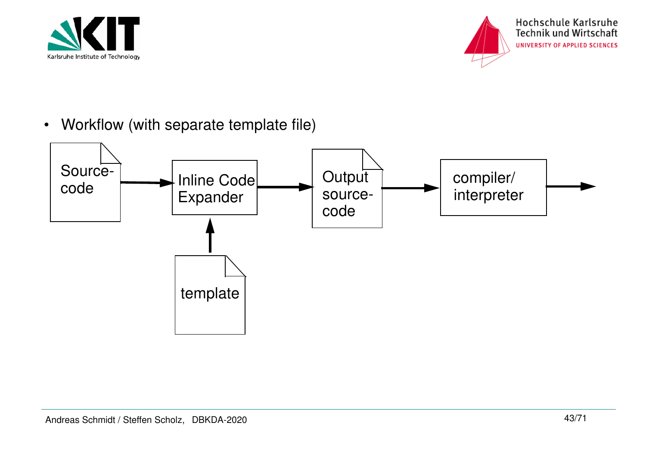



• Workflow (with separate template file)

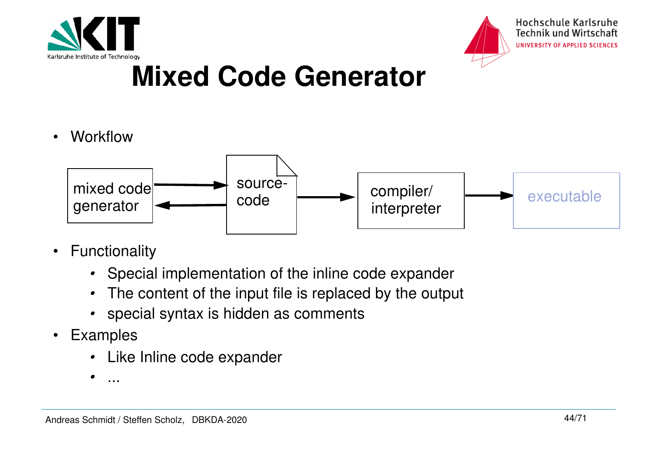



#### **Mixed Code Generator**

•Workflow



- $\bullet$  Functionality
	- *•* Special implementation of the inline code expander
	- *•*The content of the input file is replaced by the output
	- *•* special syntax is hidden as comments
- Examples
	- *•* Like Inline code expander
	- *•*...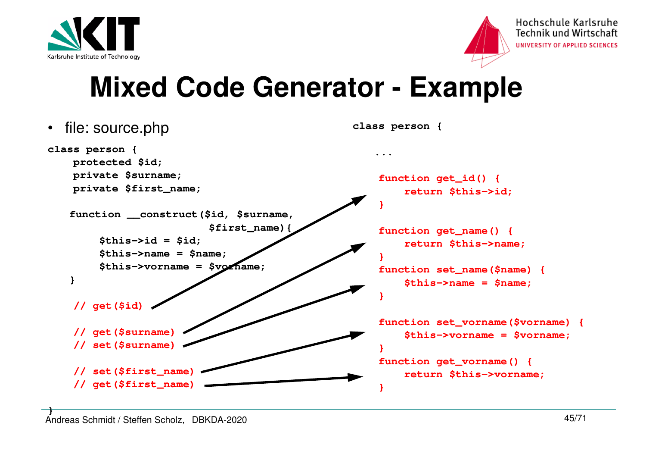



#### **Mixed Code Generator - Example**

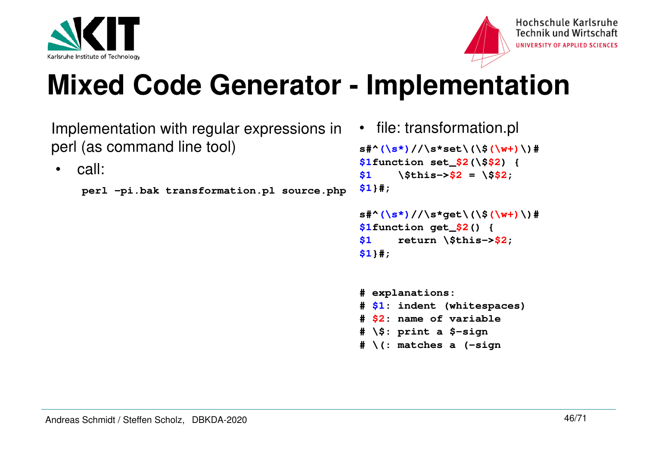



#### **Mixed Code Generator - Implementation**

Implementation with regular expressions in perl (as command line tool)

```
• call:
```

```
perl -pi.bak transformation.pl source.php
```

```
• file: transformation.pl
s#^(\s*)//\s*set\(\$(\w+)\)#$1function set_$2(\$$2) {$1 \$this->$2 = \$$2;$1}#;
```

```
s#^(\s*)//\s*get\(\$(\w+)\)#$1function get_$2() {
$1 return \$this->$2;$1}#;
```

```
# explanations:
# $1: indent (whitespaces)# $2: name of variable# \$: print a $-sign
# \(: matches a (-sign
```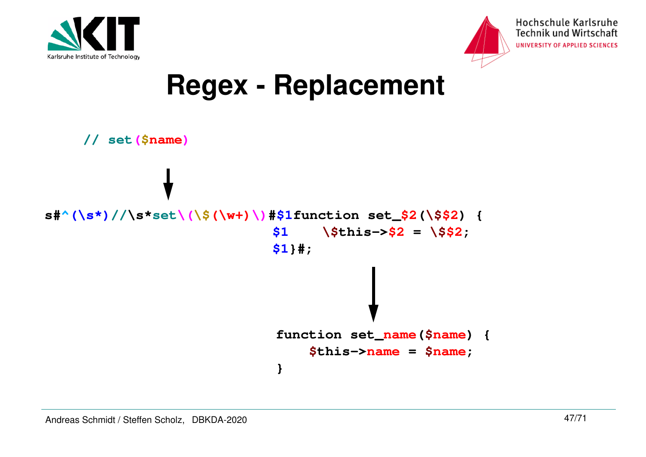



#### **Regex - Replacement**

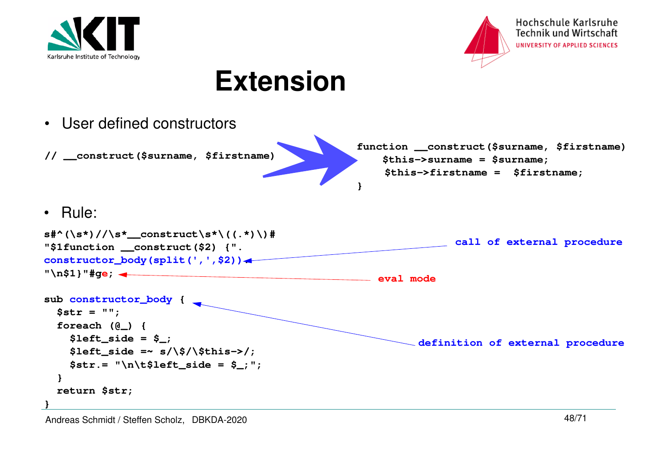



#### **Extension**

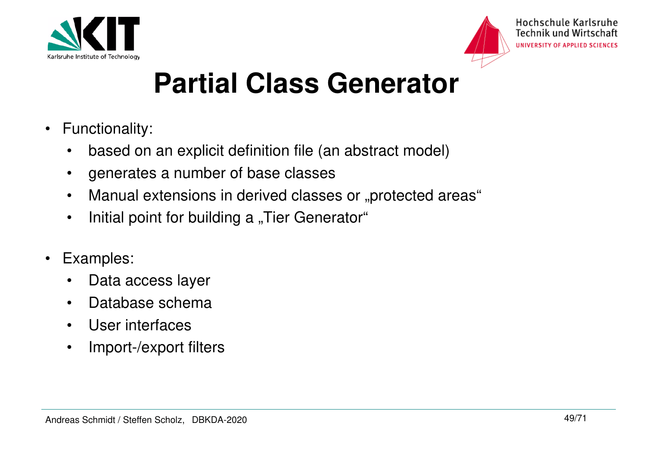



#### **Partial Class Generator**

- • Functionality:
	- $\bullet$ based on an explicit definition file (an abstract model)
	- $\bullet$ generates a number of base classes
	- $\bullet$ Manual extensions in derived classes or "protected areas"
	- $\bullet$ Initial point for building a "Tier Generator"
- $\bullet$  Examples:
	- $\bullet$ Data access layer
	- $\bullet$ Database schema
	- $\bullet$ User interfaces
	- $\bullet$ Import-/export filters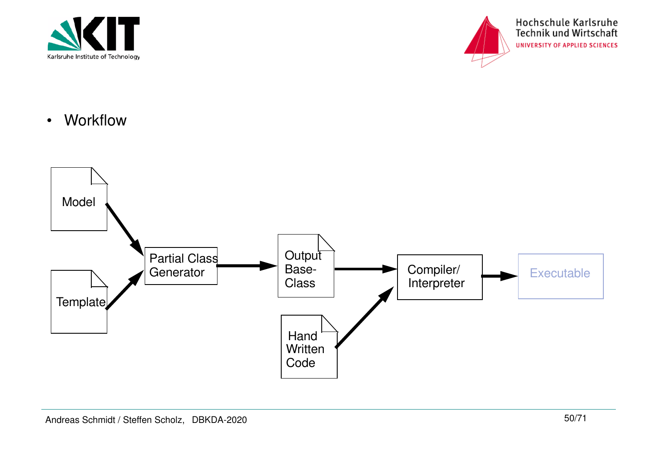



•**Workflow** 

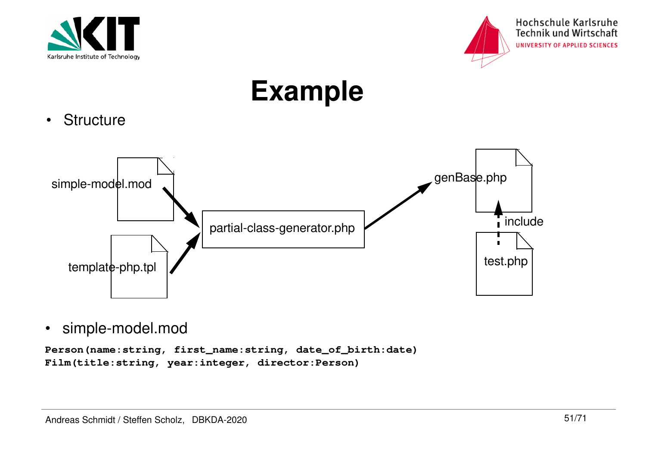



#### **Example**

•**Structure** 



•simple-model.mod

**Person(name:string, first\_name:string, date\_of\_birth:date)Film(title:string, year:integer, director:Person)**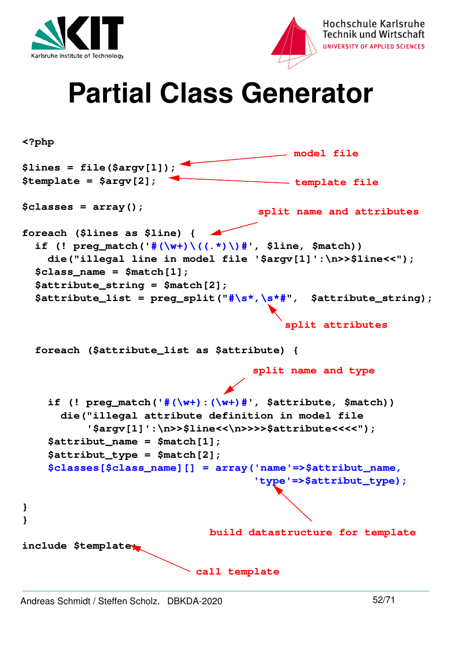



#### **Partial Class Generator**

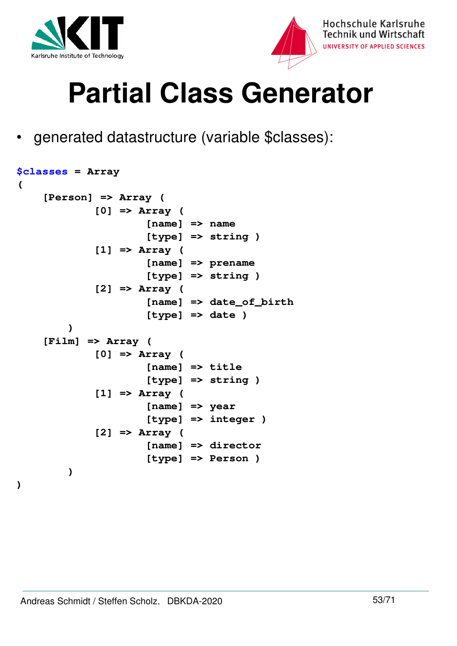



#### **Partial Class Generator**

• generated datastructure (variable \$classes):

```
$classes = Array
(
     [Person] => Array (
              [0] => Array (
                      [name] => name
                      [type] => string )
              [1] => Array (
                      [name] => prename
                      [type] => string )
              [2] => Array (
                      [name] => date_of_birth
                      [type] => date )
 )
     [Film] => Array (
              [0] => Array (
                      [name] => title
                      [type] => string )
              [1] => Array (
                      [name] => year
                      [type] => integer )
              [2] => Array (
                      [name] => director
                      [type] => Person )
 )
)
```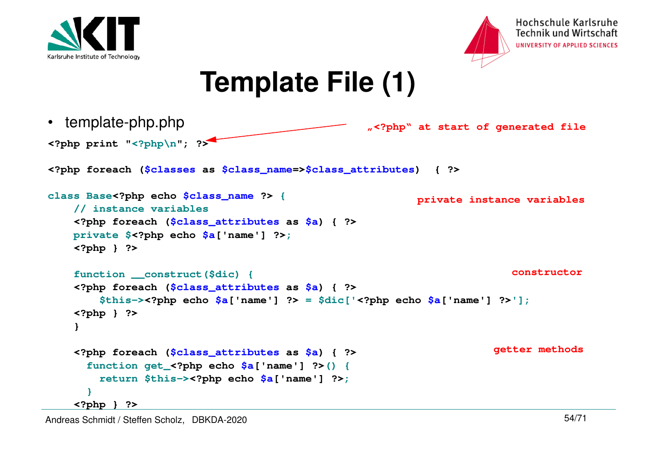



#### Hochschule Karlsruhe **Technik und Wirtschaft** UNIVERSITY OF APPLIED SCIENCES

#### **Template File (1)**

```
\sim 54/71
• template-php.php<?php print "<?php\n"; ?><?php foreach ($classes as $class_name=>$class_attributes) { ?>class Base<?php echo $class_name ?> {// instance variables
 <?php foreach ($class_attributes as $a) { ?>private $<?php echo $a['name'] ?>; <?php } ?> function __construct($dic) {
 <?php foreach ($class_attributes as $a) { ?> 
$this-><?php echo $a['name'] ?> = $dic['<?php echo $a['name'] ?>']; <?php } ?>  }  <?php foreach ($class_attributes as $a) { ?>
function get_<?php echo $a['name'] ?>() {
return $this-><?php echo $a['name'] ?>; }
 <?php } ?>private instance variablesconstructorgetter methods"<?php" at start of generated file
```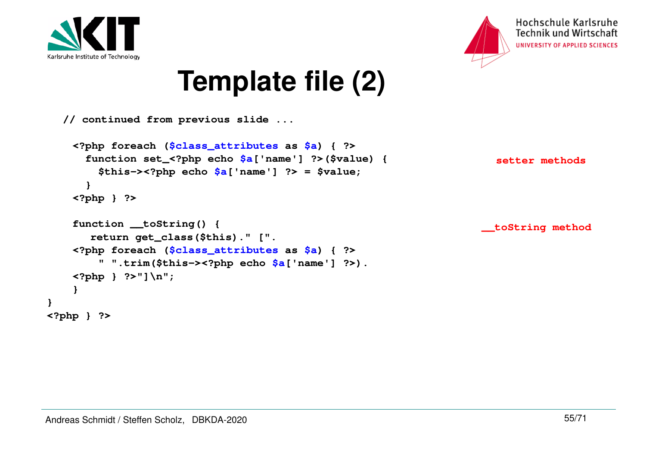

**}**



#### **Template file (2)**

```
// continued from previous slide ... <?php foreach ($class_attributes as $a) { ?>
 function set_<?php echo $a['name'] ?>($value) { $this-><?php echo $a['name'] ?> = $value; }
 <?php } ?>  function __toString() {
return get_class($this)." [".
 <?php foreach ($class_attributes as $a) { ?>
 " ".trim($this-><?php echo $a['name'] ?>). <?php } ?>"]\n";  }
<?php } ?>setter methods__toString method
```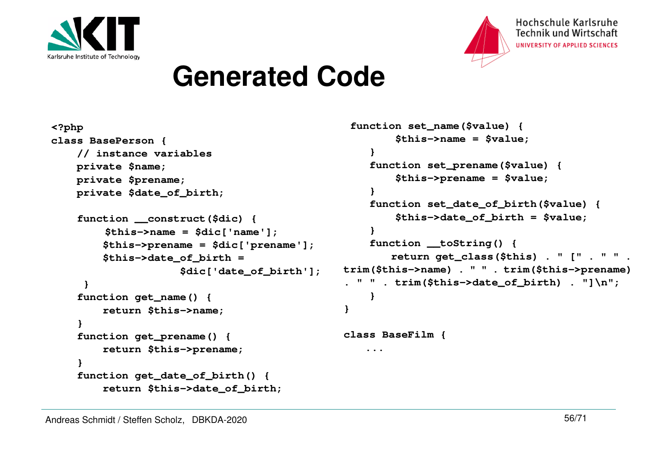



#### Hochschule Karlsruhe Technik und Wirtschaft UNIVERSITY OF APPLIED SCIENCES

#### **Generated Code**

```
<?php
class BasePerson {
 // instance variables private $name;
 private $prename;
 private $date_of_birth; function __construct($dic) {
$this->name = $dic['name'];
 $this->prename = $dic['prename']; $this->date_of_birth = 
$dic['date_of_birth'];}
 function get_name() {
 return $this->name; }
 function get_prename() {
 return $this->prename; }
 function get_date_of_birth() {
 return $this->date_of_birth; function set_name($value) {
 $this->name = $value; } } } }}...
```

```

 function set_prename($value) { $this->prename = $value;
 function set_date_of_birth($value) { $this->date_of_birth = $value;
 function __toString() {
 return get_class($this) . " [" . " " . trim($this->name) . " " . trim($this->prename) . " " . trim($this->date_of_birth) . "]\n";class BaseFilm {
```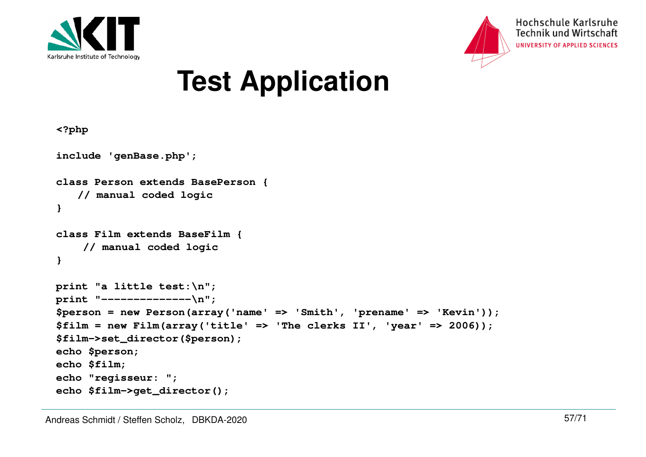



### **Test Application**

```
<?phpinclude 'genBase.php';class Person extends BasePerson {// manual coded logic}class Film extends BaseFilm {// manual coded logic}print "a little test:\n";
print "--------------\n";
$person = new Person(array('name' => 'Smith', 'prename' => 'Kevin'));$film = new Film(array('title' => 'The clerks II', 'year' => 2006));$film->set_director($person);echo $person;echo $film;
echo "regisseur: ";
echo $film->get_director();
```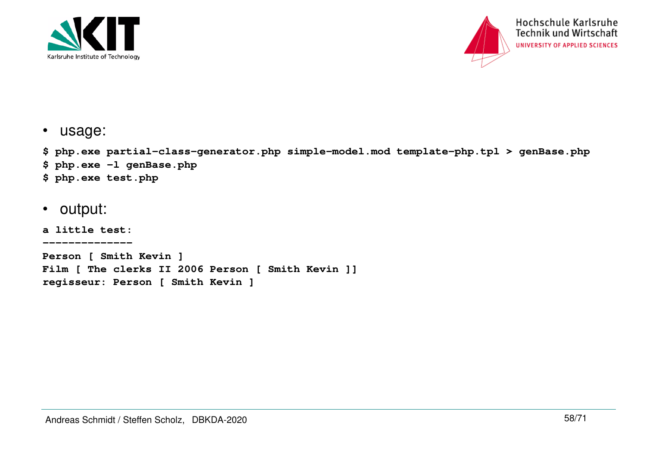



• usage:

**\$ php.exe partial-class-generator.php simple-model.mod template-php.tpl > genBase.php\$ php.exe -l genBase.php\$ php.exe test.php**

• output:

**a little test:--------------**

 **Person [ Smith Kevin ] Film [ The clerks II 2006 Person [ Smith Kevin ]]regisseur: Person [ Smith Kevin ]**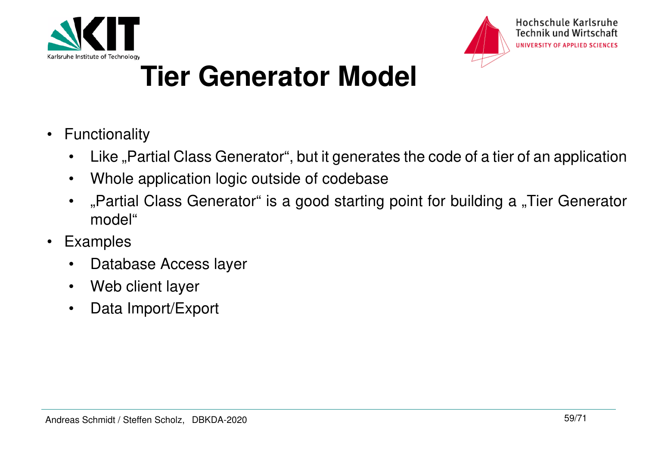



#### **Tier Generator Model**

- $\bullet$  Functionality
	- $\bullet$ Like "Partial Class Generator", but it generates the code of a tier of an application
	- •Whole application logic outside of codebase
	- •, Partial Class Generator" is a good starting point for building a "Tier Generator model"
- Examples
	- •Database Access layer
	- $\bullet$ Web client layer
	- $\bullet$ Data Import/Export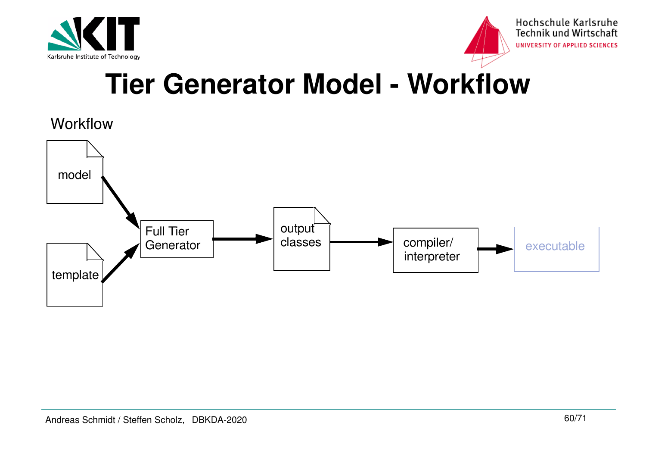



#### **Tier Generator Model - Workflow**

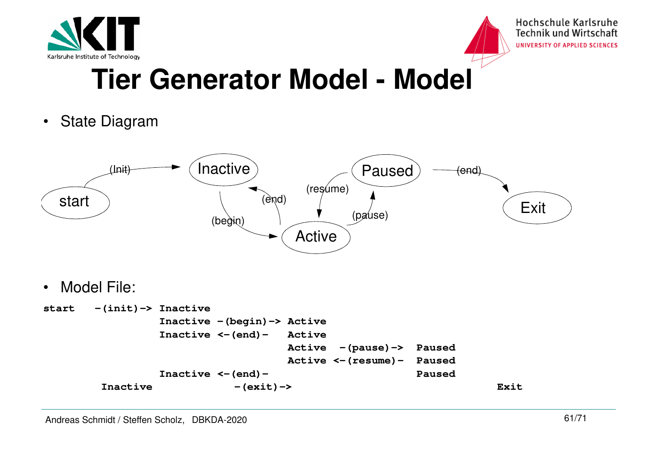



#### **Tier Generator Model - Model**

• State Diagram



 $\bullet$ Model File:

**start -(init)-> Inactive Inactive -(begin)-> Active**Active Inactive <-(end)-  **Active -(pause)-> Paused**Paused Active <-(resume)-Paused Inactive <-(end)- **Inactive -(exit)-> Exit**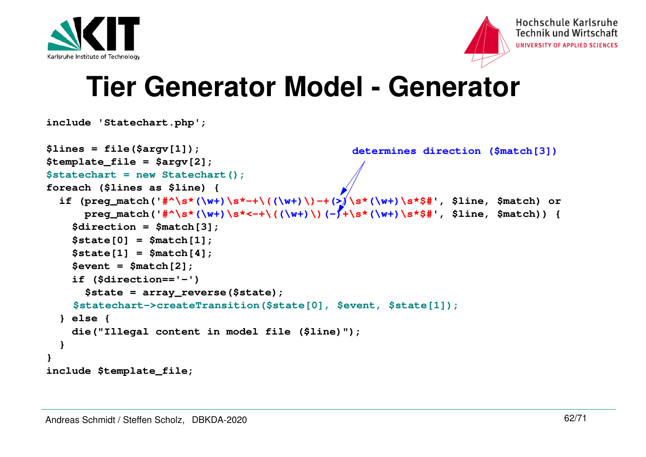



#### **Tier Generator Model - Generator**

```
include 'Statechart.php';
```

```
$lines = file($argv[1]);
$template_file = $argv[2];
$statechart = new Statechart();foreach ($lines as $line) {
 if (preg_match('#^\s*(\w+)\s*-+\((\w+)\)-+(>)\s*(\w+)\s*$#', $line, $match) or
 preg_match('#^\s*(\w+)\s*<-+\((\w+)\)(-)+\s*(\w+)\s*$#', $line, $match)) { $direction = $match[3]; $state[0] = $match[1];
 $state[1] = $match[4]; $event = $match[2];
 if ($direction=='-')
 $state = array_reverse($state);
$statechart->createTransition($state[0], $event, $state[1]); } else {
 die("Illegal content in model file ($line)"); }}
include $template_file;determines direction ($match[3])
```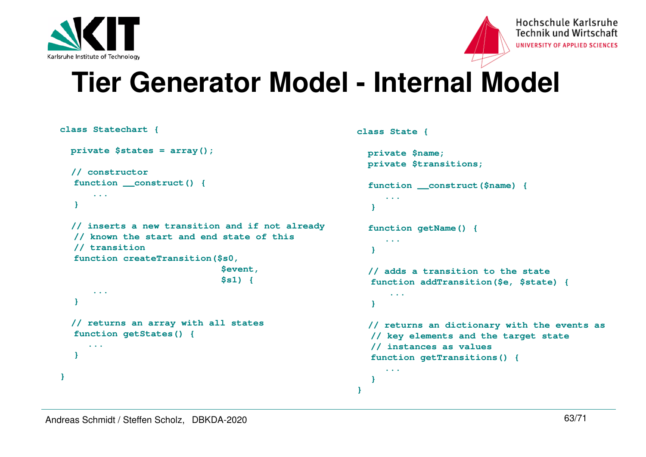



#### **Tier Generator Model - Internal Model**

```
class Statechart { private $states = array(); // constructor
function __construct() {...} // inserts a new transition and if not already// known the start and end state of this // transition 
function createTransition($s0, 
$event, $s1) { ...} // returns an array with all statesfunction getStates() { ... }class State { private $name;
 private $transitions; function __construct($name) { ... } function getName() { ...} // adds a transition to the state
function addTransition($e, $state) { ...} // returns an dictionary with the events as// key elements and the target state // instances as values
function getTransitions() { ... }}
```
**}**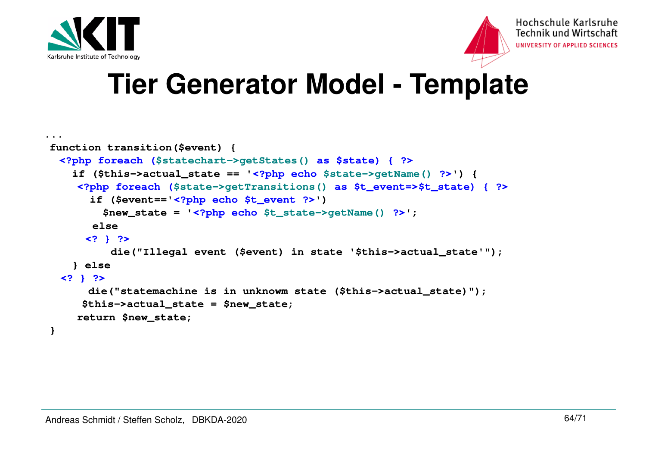



#### **Tier Generator Model - Template**

```
...
function transition($event) {
<?php foreach ($statechart->getStates() as $state) { ?>
 if ($this->actual_state == '<?php echo $state->getName() ?>') {
      <?php foreach ($state->getTransitions() as $t_event=>$t_state) { ?>
         if ($event=='<?php echo $t_event ?>') 
 $new_state = '<?php echo $t_state->getName() ?>';
        else
<? } ?>
 die("Illegal event ($event) in state '$this->actual_state'"); } else
<? } ?>
 die("statemachine is in unknowm state ($this->actual_state)");$this->actual_state = $new_state;return $new_state;}
```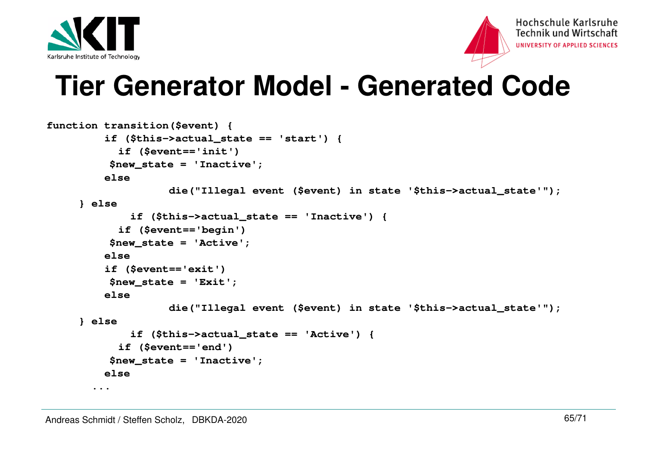



#### **Tier Generator Model - Generated Code**

```
 function transition($event) {
 if ($this->actual_state == 'start') { if ($event=='init') 
 $new_state = 'Inactive'; else die("Illegal event ($event) in state '$this->actual_state'"); } else if ($this->actual_state == 'Inactive') { if ($event=='begin') 
 $new_state = 'Active'; else
 if ($event=='exit') 
 $new_state = 'Exit'; else die("Illegal event ($event) in state '$this->actual_state'"); } else if ($this->actual_state == 'Active') { if ($event=='end') 
 $new_state = 'Inactive'; else...
```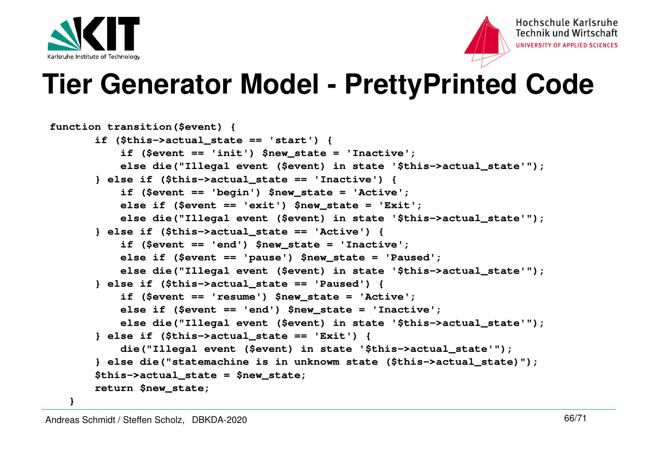



#### **Tier Generator Model - PrettyPrinted Code**

```
 function transition($event) {
 if ($this->actual_state == 'start') {
 if ($event == 'init') $new_state = 'Inactive';
 else die("Illegal event ($event) in state '$this->actual_state'"); } else if ($this->actual_state == 'Inactive') {
 if ($event == 'begin') $new_state = 'Active';
 else if ($event == 'exit') $new_state = 'Exit';
 else die("Illegal event ($event) in state '$this->actual_state'"); } else if ($this->actual_state == 'Active') {
 if ($event == 'end') $new_state = 'Inactive';
 else if ($event == 'pause') $new_state = 'Paused';
 else die("Illegal event ($event) in state '$this->actual_state'"); } else if ($this->actual_state == 'Paused') {
 if ($event == 'resume') $new_state = 'Active';
 else if ($event == 'end') $new_state = 'Inactive';
 else die("Illegal event ($event) in state '$this->actual_state'"); } else if ($this->actual_state == 'Exit') {
 die("Illegal event ($event) in state '$this->actual_state'");
 } else die("statemachine is in unknowm state ($this->actual_state)"); $this->actual_state = $new_state; return $new_state; }
```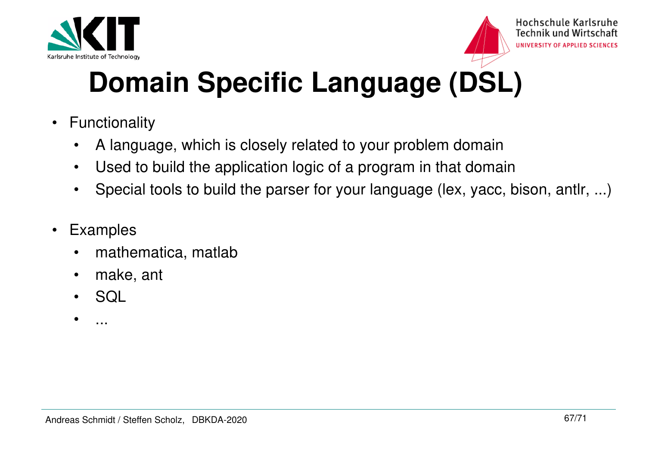



## **Domain Specific Language (DSL)**

- $\bullet$  Functionality
	- $\bullet$ A language, which is closely related to your problem domain
	- •Used to build the application logic of a program in that domain
	- •Special tools to build the parser for your language (lex, yacc, bison, antlr, ...)
- $\bullet$  Examples
	- •mathematica, matlab
	- •make, ant
	- •**SQL**
	- •...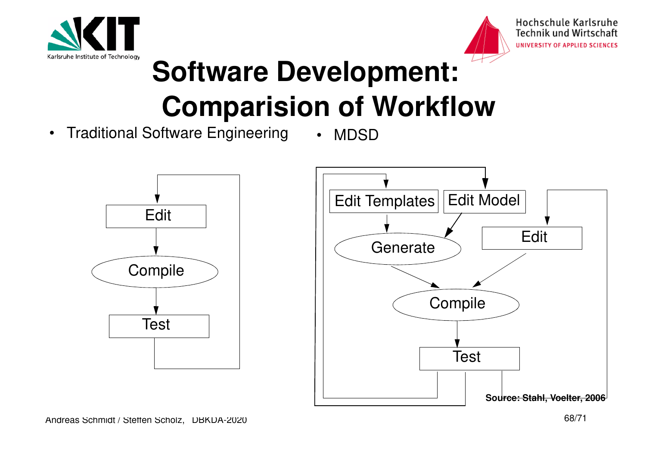



### **Software Development: Comparision of Workflow**

- Traditional Software Engineering
	- MDSD



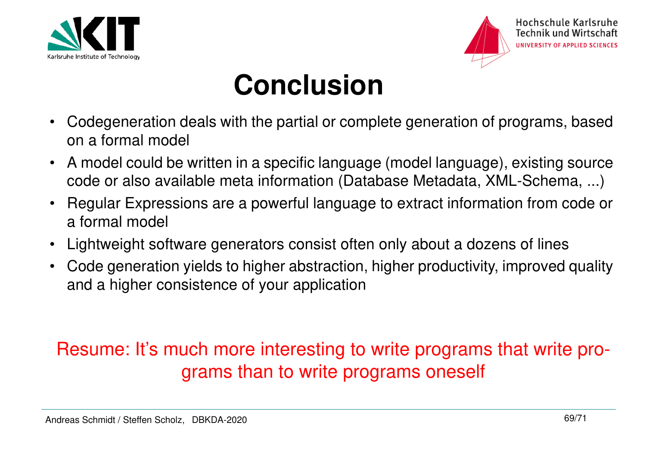



#### **Conclusion**

- • Codegeneration deals with the partial or complete generation of programs, based on a formal model
- • A model could be written in a specific language (model language), existing source code or also available meta information (Database Metadata, XML-Schema, ...)
- $\bullet$  Regular Expressions are a powerful language to extract information from code or a formal model
- $\bullet$ Lightweight software generators consist often only about a dozens of lines
- $\bullet$  Code generation yields to higher abstraction, higher productivity, improved quality and a higher consistence of your application

#### Resume: It's much more interesting to write programs that write programs than to write programs oneself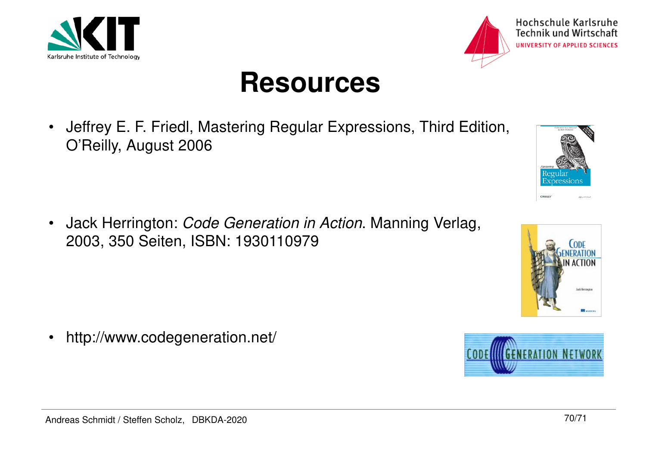



#### **Resources**

• Jeffrey E. F. Friedl, Mastering Regular Expressions, Third Edition, O'Reilly, August 2006

• Jack Herrington: *Code Generation in Action*. Manning Verlag, 2003, 350 Seiten, ISBN: 1930110979

•http://www.codegeneration.net/